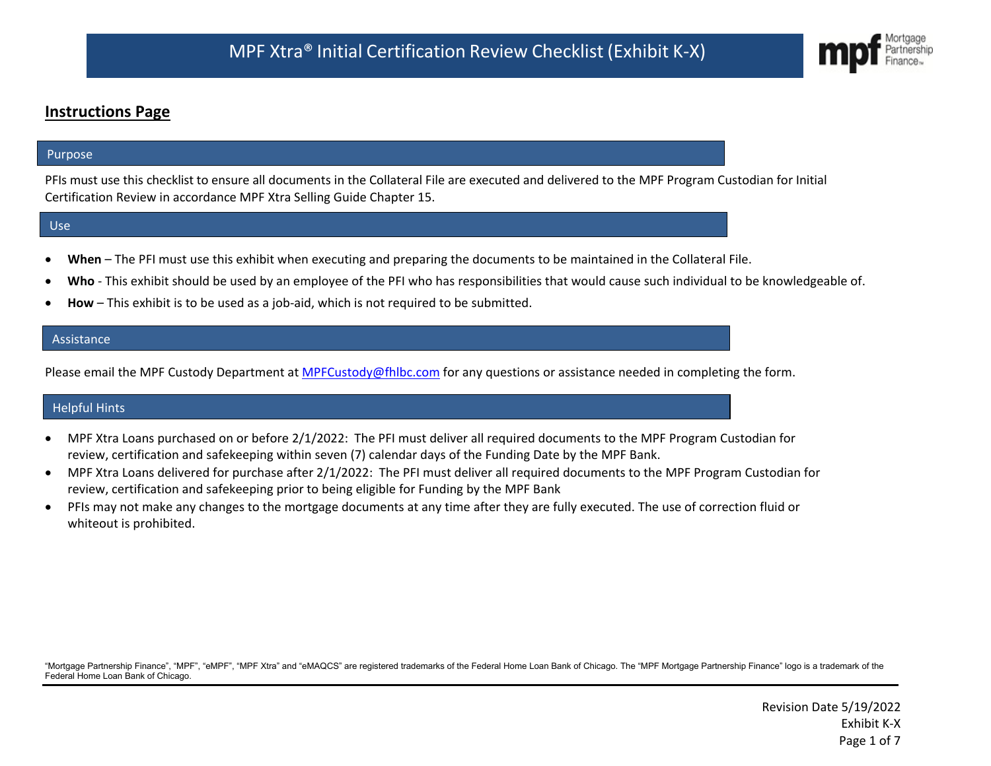# **Instructions Page**

### Purpose

PFIs must use this checklist to ensure all documents in the Collateral File are executed and delivered to the MPF Program Custodian for Initial Certification Review in accordance MPF Xtra Selling Guide Chapter 15.

#### Use

- **When** The PFI must use this exhibit when executing and preparing the documents to be maintained in the Collateral File.
- **Who** This exhibit should be used by an employee of the PFI who has responsibilities that would cause such individual to be knowledgeable of.
- **How** This exhibit is to be used as a job-aid, which is not required to be submitted.

### Assistance

Please email the MPF Custody Department at [MPFCustody@fhlbc.com](mailto:MPFCustody@fhlbc.com) for any questions or assistance needed in completing the form.

#### Helpful Hints

- MPF Xtra Loans purchased on or before 2/1/2022: The PFI must deliver all required documents to the MPF Program Custodian for review, certification and safekeeping within seven (7) calendar days of the Funding Date by the MPF Bank.
- MPF Xtra Loans delivered for purchase after 2/1/2022: The PFI must deliver all required documents to the MPF Program Custodian for review, certification and safekeeping prior to being eligible for Funding by the MPF Bank
- PFIs may not make any changes to the mortgage documents at any time after they are fully executed. The use of correction fluid or whiteout is prohibited.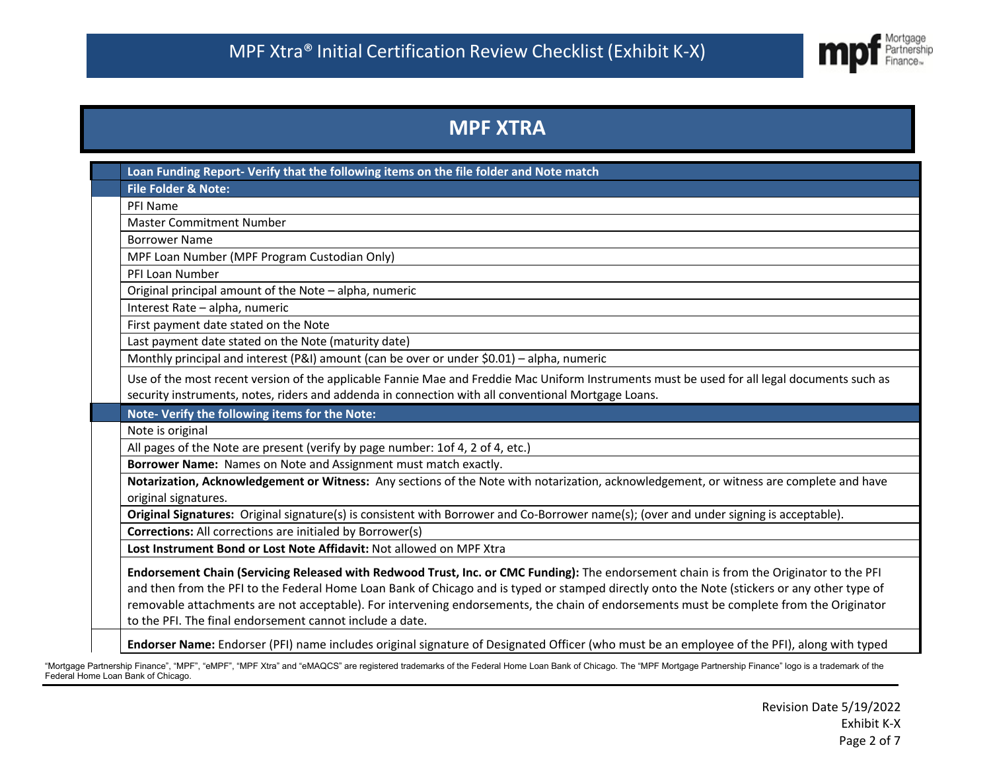

# **MPF XTRA**

| Loan Funding Report- Verify that the following items on the file folder and Note match                                                                                                                                                                                                                               |  |  |                                                                                                                                         |  |  |
|----------------------------------------------------------------------------------------------------------------------------------------------------------------------------------------------------------------------------------------------------------------------------------------------------------------------|--|--|-----------------------------------------------------------------------------------------------------------------------------------------|--|--|
| <b>File Folder &amp; Note:</b>                                                                                                                                                                                                                                                                                       |  |  |                                                                                                                                         |  |  |
| PFI Name                                                                                                                                                                                                                                                                                                             |  |  |                                                                                                                                         |  |  |
| <b>Master Commitment Number</b>                                                                                                                                                                                                                                                                                      |  |  |                                                                                                                                         |  |  |
| <b>Borrower Name</b>                                                                                                                                                                                                                                                                                                 |  |  |                                                                                                                                         |  |  |
| MPF Loan Number (MPF Program Custodian Only)                                                                                                                                                                                                                                                                         |  |  |                                                                                                                                         |  |  |
| PFI Loan Number                                                                                                                                                                                                                                                                                                      |  |  |                                                                                                                                         |  |  |
| Original principal amount of the Note - alpha, numeric                                                                                                                                                                                                                                                               |  |  |                                                                                                                                         |  |  |
| Interest Rate - alpha, numeric                                                                                                                                                                                                                                                                                       |  |  |                                                                                                                                         |  |  |
| First payment date stated on the Note                                                                                                                                                                                                                                                                                |  |  |                                                                                                                                         |  |  |
| Last payment date stated on the Note (maturity date)                                                                                                                                                                                                                                                                 |  |  |                                                                                                                                         |  |  |
| Monthly principal and interest (P&I) amount (can be over or under \$0.01) - alpha, numeric                                                                                                                                                                                                                           |  |  |                                                                                                                                         |  |  |
| Use of the most recent version of the applicable Fannie Mae and Freddie Mac Uniform Instruments must be used for all legal documents such as                                                                                                                                                                         |  |  |                                                                                                                                         |  |  |
| security instruments, notes, riders and addenda in connection with all conventional Mortgage Loans.                                                                                                                                                                                                                  |  |  |                                                                                                                                         |  |  |
| Note- Verify the following items for the Note:                                                                                                                                                                                                                                                                       |  |  |                                                                                                                                         |  |  |
| Note is original                                                                                                                                                                                                                                                                                                     |  |  |                                                                                                                                         |  |  |
| All pages of the Note are present (verify by page number: 1of 4, 2 of 4, etc.)<br>Borrower Name: Names on Note and Assignment must match exactly.<br>Notarization, Acknowledgement or Witness: Any sections of the Note with notarization, acknowledgement, or witness are complete and have<br>original signatures. |  |  |                                                                                                                                         |  |  |
|                                                                                                                                                                                                                                                                                                                      |  |  | Original Signatures: Original signature(s) is consistent with Borrower and Co-Borrower name(s); (over and under signing is acceptable). |  |  |
|                                                                                                                                                                                                                                                                                                                      |  |  | <b>Corrections:</b> All corrections are initialed by Borrower(s)                                                                        |  |  |
|                                                                                                                                                                                                                                                                                                                      |  |  | Lost Instrument Bond or Lost Note Affidavit: Not allowed on MPF Xtra                                                                    |  |  |
| Endorsement Chain (Servicing Released with Redwood Trust, Inc. or CMC Funding): The endorsement chain is from the Originator to the PFI                                                                                                                                                                              |  |  |                                                                                                                                         |  |  |
| and then from the PFI to the Federal Home Loan Bank of Chicago and is typed or stamped directly onto the Note (stickers or any other type of                                                                                                                                                                         |  |  |                                                                                                                                         |  |  |
| removable attachments are not acceptable). For intervening endorsements, the chain of endorsements must be complete from the Originator                                                                                                                                                                              |  |  |                                                                                                                                         |  |  |
| to the PFI. The final endorsement cannot include a date.                                                                                                                                                                                                                                                             |  |  |                                                                                                                                         |  |  |
| Endorser Name: Endorser (PFI) name includes original signature of Designated Officer (who must be an employee of the PFI), along with typed                                                                                                                                                                          |  |  |                                                                                                                                         |  |  |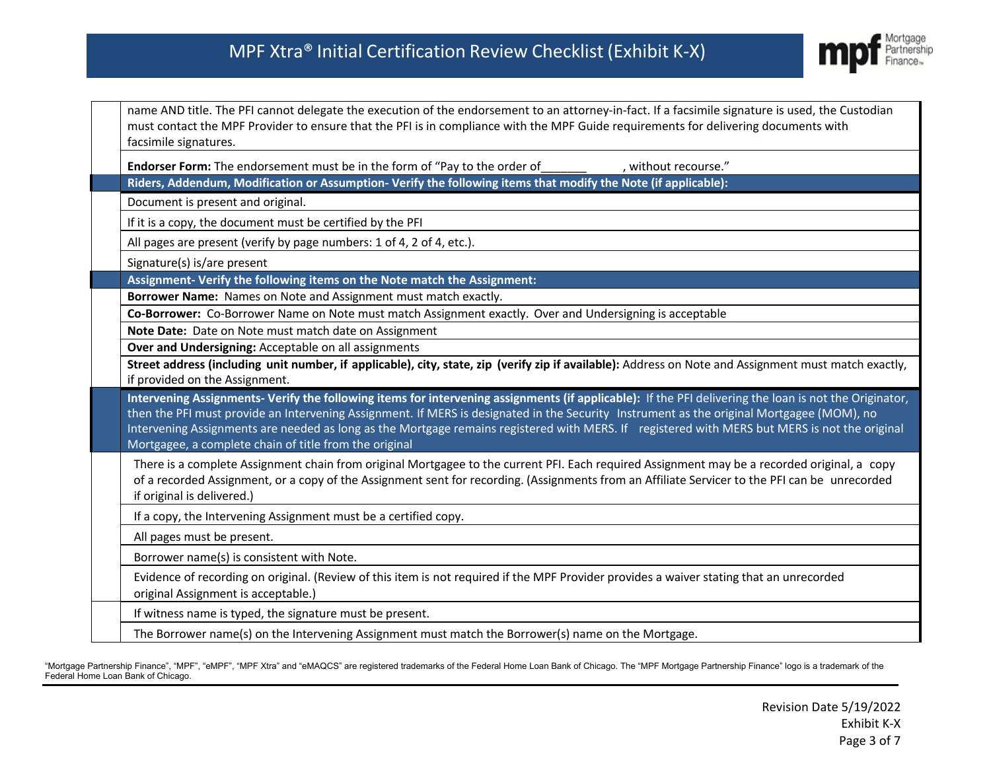

| name AND title. The PFI cannot delegate the execution of the endorsement to an attorney-in-fact. If a facsimile signature is used, the Custodian<br>must contact the MPF Provider to ensure that the PFI is in compliance with the MPF Guide requirements for delivering documents with<br>facsimile signatures.             |  |  |                                                                                                                                                                                                                                                                                                                                                                                                                                                                                                                |
|------------------------------------------------------------------------------------------------------------------------------------------------------------------------------------------------------------------------------------------------------------------------------------------------------------------------------|--|--|----------------------------------------------------------------------------------------------------------------------------------------------------------------------------------------------------------------------------------------------------------------------------------------------------------------------------------------------------------------------------------------------------------------------------------------------------------------------------------------------------------------|
| Endorser Form: The endorsement must be in the form of "Pay to the order of<br>, without recourse."                                                                                                                                                                                                                           |  |  |                                                                                                                                                                                                                                                                                                                                                                                                                                                                                                                |
| Riders, Addendum, Modification or Assumption-Verify the following items that modify the Note (if applicable):                                                                                                                                                                                                                |  |  |                                                                                                                                                                                                                                                                                                                                                                                                                                                                                                                |
| Document is present and original.<br>If it is a copy, the document must be certified by the PFI                                                                                                                                                                                                                              |  |  |                                                                                                                                                                                                                                                                                                                                                                                                                                                                                                                |
|                                                                                                                                                                                                                                                                                                                              |  |  | All pages are present (verify by page numbers: 1 of 4, 2 of 4, etc.).                                                                                                                                                                                                                                                                                                                                                                                                                                          |
| Signature(s) is/are present                                                                                                                                                                                                                                                                                                  |  |  |                                                                                                                                                                                                                                                                                                                                                                                                                                                                                                                |
| Assignment- Verify the following items on the Note match the Assignment:                                                                                                                                                                                                                                                     |  |  |                                                                                                                                                                                                                                                                                                                                                                                                                                                                                                                |
| Borrower Name: Names on Note and Assignment must match exactly.                                                                                                                                                                                                                                                              |  |  |                                                                                                                                                                                                                                                                                                                                                                                                                                                                                                                |
| Co-Borrower: Co-Borrower Name on Note must match Assignment exactly. Over and Undersigning is acceptable                                                                                                                                                                                                                     |  |  |                                                                                                                                                                                                                                                                                                                                                                                                                                                                                                                |
| Note Date: Date on Note must match date on Assignment                                                                                                                                                                                                                                                                        |  |  |                                                                                                                                                                                                                                                                                                                                                                                                                                                                                                                |
| Over and Undersigning: Acceptable on all assignments<br>Street address (including unit number, if applicable), city, state, zip (verify zip if available): Address on Note and Assignment must match exactly,<br>if provided on the Assignment.                                                                              |  |  |                                                                                                                                                                                                                                                                                                                                                                                                                                                                                                                |
|                                                                                                                                                                                                                                                                                                                              |  |  | Intervening Assignments- Verify the following items for intervening assignments (if applicable): If the PFI delivering the loan is not the Originator,<br>then the PFI must provide an Intervening Assignment. If MERS is designated in the Security Instrument as the original Mortgagee (MOM), no<br>Intervening Assignments are needed as long as the Mortgage remains registered with MERS. If registered with MERS but MERS is not the original<br>Mortgagee, a complete chain of title from the original |
| There is a complete Assignment chain from original Mortgagee to the current PFI. Each required Assignment may be a recorded original, a copy<br>of a recorded Assignment, or a copy of the Assignment sent for recording. (Assignments from an Affiliate Servicer to the PFI can be unrecorded<br>if original is delivered.) |  |  |                                                                                                                                                                                                                                                                                                                                                                                                                                                                                                                |
| If a copy, the Intervening Assignment must be a certified copy.                                                                                                                                                                                                                                                              |  |  |                                                                                                                                                                                                                                                                                                                                                                                                                                                                                                                |
| All pages must be present.                                                                                                                                                                                                                                                                                                   |  |  |                                                                                                                                                                                                                                                                                                                                                                                                                                                                                                                |
| Borrower name(s) is consistent with Note.                                                                                                                                                                                                                                                                                    |  |  |                                                                                                                                                                                                                                                                                                                                                                                                                                                                                                                |
| Evidence of recording on original. (Review of this item is not required if the MPF Provider provides a waiver stating that an unrecorded<br>original Assignment is acceptable.)                                                                                                                                              |  |  |                                                                                                                                                                                                                                                                                                                                                                                                                                                                                                                |
| If witness name is typed, the signature must be present.                                                                                                                                                                                                                                                                     |  |  |                                                                                                                                                                                                                                                                                                                                                                                                                                                                                                                |
| The Borrower name(s) on the Intervening Assignment must match the Borrower(s) name on the Mortgage.                                                                                                                                                                                                                          |  |  |                                                                                                                                                                                                                                                                                                                                                                                                                                                                                                                |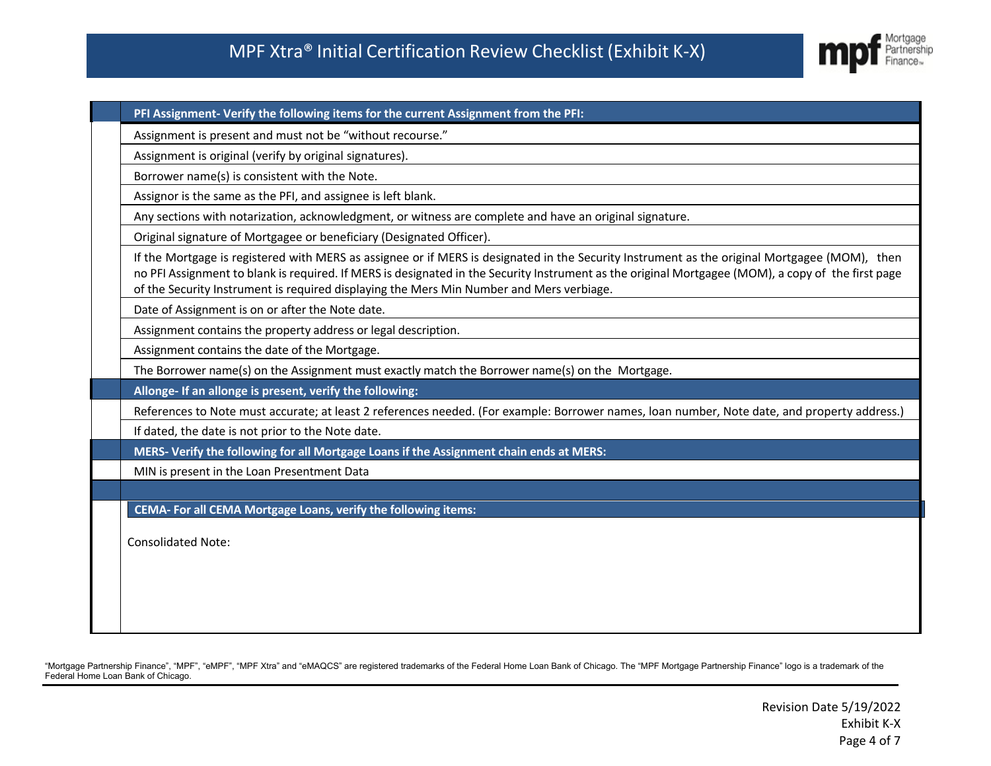

| PFI Assignment- Verify the following items for the current Assignment from the PFI:                                                                                                                                                                                                                                                                                                             |
|-------------------------------------------------------------------------------------------------------------------------------------------------------------------------------------------------------------------------------------------------------------------------------------------------------------------------------------------------------------------------------------------------|
| Assignment is present and must not be "without recourse."                                                                                                                                                                                                                                                                                                                                       |
| Assignment is original (verify by original signatures).                                                                                                                                                                                                                                                                                                                                         |
| Borrower name(s) is consistent with the Note.                                                                                                                                                                                                                                                                                                                                                   |
| Assignor is the same as the PFI, and assignee is left blank.                                                                                                                                                                                                                                                                                                                                    |
| Any sections with notarization, acknowledgment, or witness are complete and have an original signature.                                                                                                                                                                                                                                                                                         |
| Original signature of Mortgagee or beneficiary (Designated Officer).                                                                                                                                                                                                                                                                                                                            |
| If the Mortgage is registered with MERS as assignee or if MERS is designated in the Security Instrument as the original Mortgagee (MOM), then<br>no PFI Assignment to blank is required. If MERS is designated in the Security Instrument as the original Mortgagee (MOM), a copy of the first page<br>of the Security Instrument is required displaying the Mers Min Number and Mers verbiage. |
| Date of Assignment is on or after the Note date.                                                                                                                                                                                                                                                                                                                                                |
| Assignment contains the property address or legal description.                                                                                                                                                                                                                                                                                                                                  |
| Assignment contains the date of the Mortgage.                                                                                                                                                                                                                                                                                                                                                   |
| The Borrower name(s) on the Assignment must exactly match the Borrower name(s) on the Mortgage.                                                                                                                                                                                                                                                                                                 |
| Allonge- If an allonge is present, verify the following:                                                                                                                                                                                                                                                                                                                                        |
| References to Note must accurate; at least 2 references needed. (For example: Borrower names, loan number, Note date, and property address.)                                                                                                                                                                                                                                                    |
| If dated, the date is not prior to the Note date.                                                                                                                                                                                                                                                                                                                                               |
| MERS-Verify the following for all Mortgage Loans if the Assignment chain ends at MERS:                                                                                                                                                                                                                                                                                                          |
| MIN is present in the Loan Presentment Data                                                                                                                                                                                                                                                                                                                                                     |
|                                                                                                                                                                                                                                                                                                                                                                                                 |
| CEMA- For all CEMA Mortgage Loans, verify the following items:                                                                                                                                                                                                                                                                                                                                  |
| <b>Consolidated Note:</b>                                                                                                                                                                                                                                                                                                                                                                       |
|                                                                                                                                                                                                                                                                                                                                                                                                 |
|                                                                                                                                                                                                                                                                                                                                                                                                 |
|                                                                                                                                                                                                                                                                                                                                                                                                 |
|                                                                                                                                                                                                                                                                                                                                                                                                 |
|                                                                                                                                                                                                                                                                                                                                                                                                 |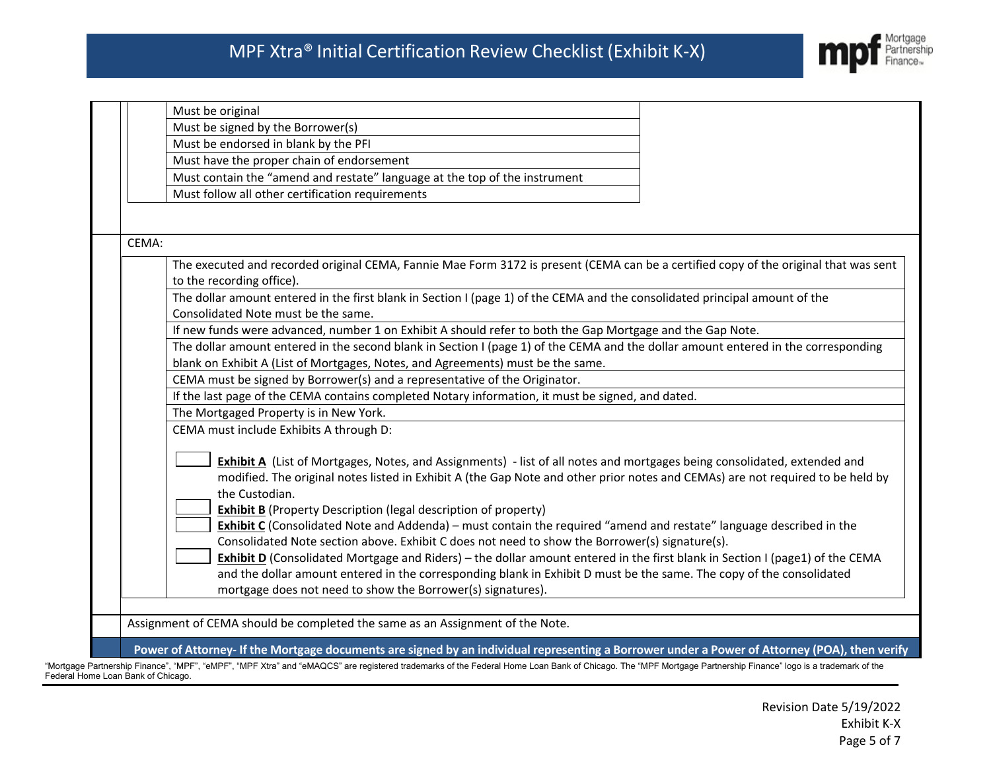

|       | Must be original                                                                                                                                                                                                      |  |  |  |
|-------|-----------------------------------------------------------------------------------------------------------------------------------------------------------------------------------------------------------------------|--|--|--|
|       | Must be signed by the Borrower(s)                                                                                                                                                                                     |  |  |  |
|       | Must be endorsed in blank by the PFI                                                                                                                                                                                  |  |  |  |
|       | Must have the proper chain of endorsement                                                                                                                                                                             |  |  |  |
|       | Must contain the "amend and restate" language at the top of the instrument                                                                                                                                            |  |  |  |
|       | Must follow all other certification requirements                                                                                                                                                                      |  |  |  |
|       |                                                                                                                                                                                                                       |  |  |  |
|       |                                                                                                                                                                                                                       |  |  |  |
| CEMA: |                                                                                                                                                                                                                       |  |  |  |
|       | The executed and recorded original CEMA, Fannie Mae Form 3172 is present (CEMA can be a certified copy of the original that was sent<br>to the recording office).                                                     |  |  |  |
|       | The dollar amount entered in the first blank in Section I (page 1) of the CEMA and the consolidated principal amount of the<br>Consolidated Note must be the same.                                                    |  |  |  |
|       | If new funds were advanced, number 1 on Exhibit A should refer to both the Gap Mortgage and the Gap Note.                                                                                                             |  |  |  |
|       | The dollar amount entered in the second blank in Section I (page 1) of the CEMA and the dollar amount entered in the corresponding                                                                                    |  |  |  |
|       | blank on Exhibit A (List of Mortgages, Notes, and Agreements) must be the same.                                                                                                                                       |  |  |  |
|       | CEMA must be signed by Borrower(s) and a representative of the Originator.                                                                                                                                            |  |  |  |
|       | If the last page of the CEMA contains completed Notary information, it must be signed, and dated.                                                                                                                     |  |  |  |
|       | The Mortgaged Property is in New York.                                                                                                                                                                                |  |  |  |
|       | CEMA must include Exhibits A through D:                                                                                                                                                                               |  |  |  |
|       | Exhibit A (List of Mortgages, Notes, and Assignments) - list of all notes and mortgages being consolidated, extended and                                                                                              |  |  |  |
|       | modified. The original notes listed in Exhibit A (the Gap Note and other prior notes and CEMAs) are not required to be held by<br>the Custodian.                                                                      |  |  |  |
|       | <b>Exhibit B</b> (Property Description (legal description of property)                                                                                                                                                |  |  |  |
|       | Exhibit C (Consolidated Note and Addenda) – must contain the required "amend and restate" language described in the<br>Consolidated Note section above. Exhibit C does not need to show the Borrower(s) signature(s). |  |  |  |
|       | Exhibit D (Consolidated Mortgage and Riders) – the dollar amount entered in the first blank in Section I (page1) of the CEMA                                                                                          |  |  |  |
|       | and the dollar amount entered in the corresponding blank in Exhibit D must be the same. The copy of the consolidated                                                                                                  |  |  |  |
|       | mortgage does not need to show the Borrower(s) signatures).                                                                                                                                                           |  |  |  |
|       |                                                                                                                                                                                                                       |  |  |  |
|       | Assignment of CEMA should be completed the same as an Assignment of the Note.                                                                                                                                         |  |  |  |
|       | Power of Attorney- If the Mortgage documents are signed by an individual representing a Borrower under a Power of Attorney (POA), then verify                                                                         |  |  |  |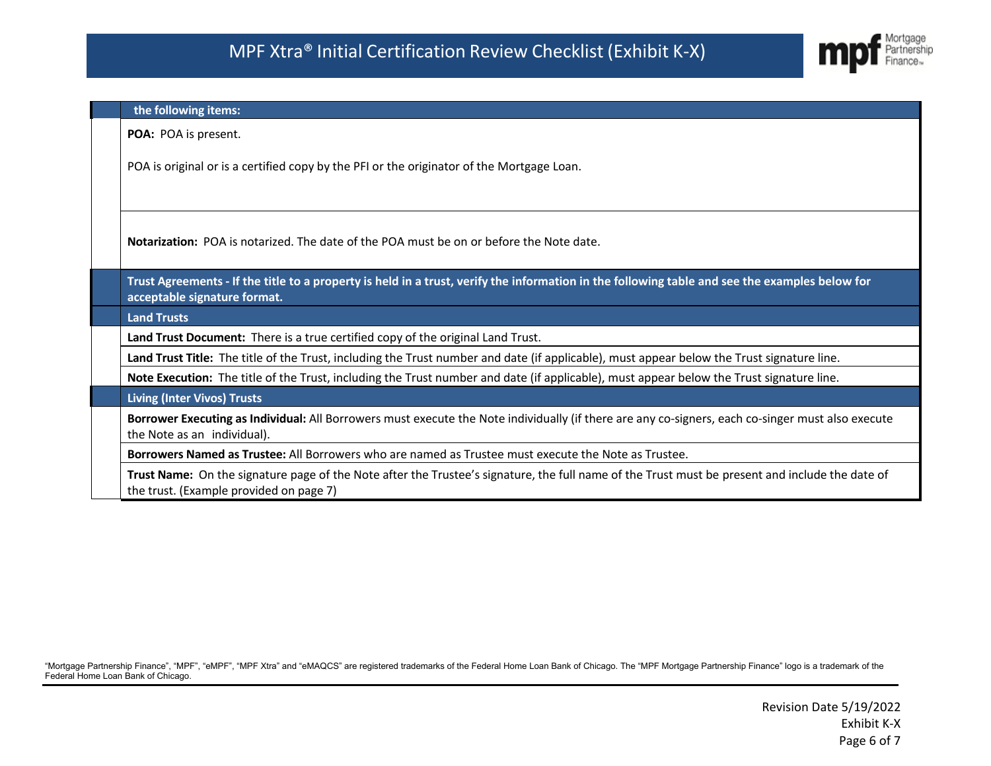

|                                                                                                                                            | the following items:                                                                                                                                                                       |  |  |
|--------------------------------------------------------------------------------------------------------------------------------------------|--------------------------------------------------------------------------------------------------------------------------------------------------------------------------------------------|--|--|
|                                                                                                                                            | POA: POA is present.                                                                                                                                                                       |  |  |
|                                                                                                                                            | POA is original or is a certified copy by the PFI or the originator of the Mortgage Loan.                                                                                                  |  |  |
|                                                                                                                                            | <b>Notarization:</b> POA is notarized. The date of the POA must be on or before the Note date.                                                                                             |  |  |
|                                                                                                                                            | Trust Agreements - If the title to a property is held in a trust, verify the information in the following table and see the examples below for<br>acceptable signature format.             |  |  |
|                                                                                                                                            | <b>Land Trusts</b>                                                                                                                                                                         |  |  |
|                                                                                                                                            | Land Trust Document: There is a true certified copy of the original Land Trust.                                                                                                            |  |  |
| Land Trust Title: The title of the Trust, including the Trust number and date (if applicable), must appear below the Trust signature line. |                                                                                                                                                                                            |  |  |
|                                                                                                                                            | Note Execution: The title of the Trust, including the Trust number and date (if applicable), must appear below the Trust signature line.                                                   |  |  |
|                                                                                                                                            | <b>Living (Inter Vivos) Trusts</b>                                                                                                                                                         |  |  |
|                                                                                                                                            | Borrower Executing as Individual: All Borrowers must execute the Note individually (if there are any co-signers, each co-singer must also execute<br>the Note as an individual).           |  |  |
|                                                                                                                                            | Borrowers Named as Trustee: All Borrowers who are named as Trustee must execute the Note as Trustee.                                                                                       |  |  |
|                                                                                                                                            | Trust Name: On the signature page of the Note after the Trustee's signature, the full name of the Trust must be present and include the date of<br>the trust. (Example provided on page 7) |  |  |